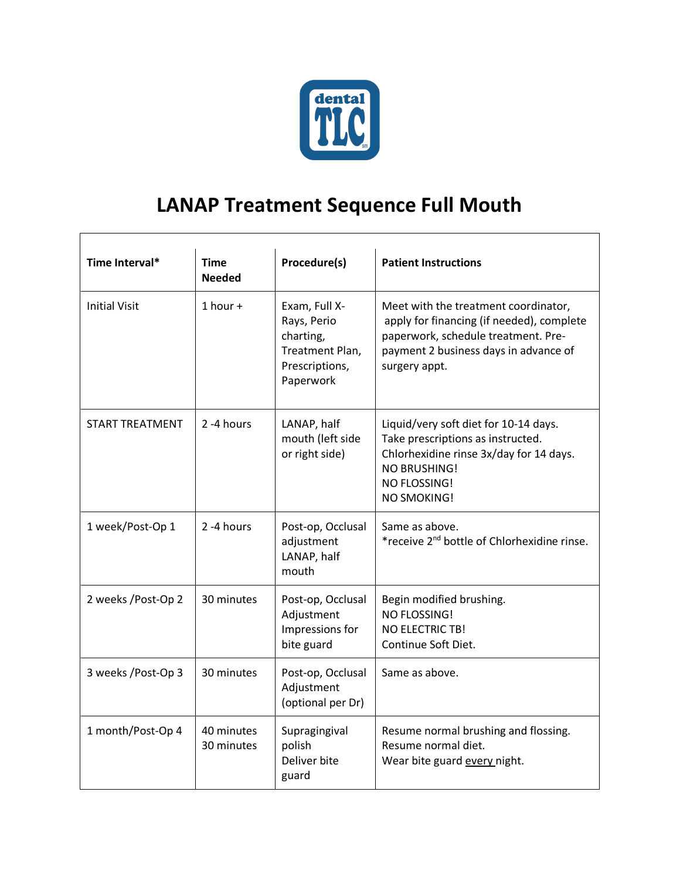

## **LANAP Treatment Sequence Full Mouth**

| Time Interval*         | <b>Time</b><br><b>Needed</b> | Procedure(s)                                                                                | <b>Patient Instructions</b>                                                                                                                                                        |
|------------------------|------------------------------|---------------------------------------------------------------------------------------------|------------------------------------------------------------------------------------------------------------------------------------------------------------------------------------|
| <b>Initial Visit</b>   | $1$ hour +                   | Exam, Full X-<br>Rays, Perio<br>charting,<br>Treatment Plan,<br>Prescriptions,<br>Paperwork | Meet with the treatment coordinator,<br>apply for financing (if needed), complete<br>paperwork, schedule treatment. Pre-<br>payment 2 business days in advance of<br>surgery appt. |
| <b>START TREATMENT</b> | 2-4 hours                    | LANAP, half<br>mouth (left side<br>or right side)                                           | Liquid/very soft diet for 10-14 days.<br>Take prescriptions as instructed.<br>Chlorhexidine rinse 3x/day for 14 days.<br><b>NO BRUSHING!</b><br>NO FLOSSING!<br>NO SMOKING!        |
| 1 week/Post-Op 1       | 2-4 hours                    | Post-op, Occlusal<br>adjustment<br>LANAP, half<br>mouth                                     | Same as above.<br>*receive 2 <sup>nd</sup> bottle of Chlorhexidine rinse.                                                                                                          |
| 2 weeks /Post-Op 2     | 30 minutes                   | Post-op, Occlusal<br>Adjustment<br>Impressions for<br>bite guard                            | Begin modified brushing.<br>NO FLOSSING!<br><b>NO ELECTRIC TB!</b><br>Continue Soft Diet.                                                                                          |
| 3 weeks / Post-Op 3    | 30 minutes                   | Post-op, Occlusal<br>Adjustment<br>(optional per Dr)                                        | Same as above.                                                                                                                                                                     |
| 1 month/Post-Op 4      | 40 minutes<br>30 minutes     | Supragingival<br>polish<br>Deliver bite<br>guard                                            | Resume normal brushing and flossing.<br>Resume normal diet.<br>Wear bite guard every night.                                                                                        |